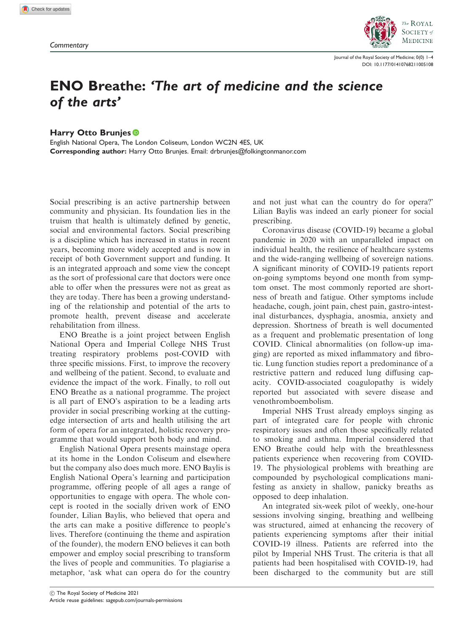

Journal of the Royal Society of Medicine; 0(0) 1–4 [DOI: 10.1177/01410768211005108](https://doi.org/10.1177/01410768211005108)

## ENO Breathe: 'The art of medicine and the science of the arts'

Harry Otto Brunjes<sup>®</sup>

English National Opera, The London Coliseum, London WC2N 4ES, UK Corresponding author: Harry Otto Brunjes. Email: drbrunjes@folkingtonmanor.com

Social prescribing is an active partnership between community and physician. Its foundation lies in the truism that health is ultimately defined by genetic, social and environmental factors. Social prescribing is a discipline which has increased in status in recent years, becoming more widely accepted and is now in receipt of both Government support and funding. It is an integrated approach and some view the concept as the sort of professional care that doctors were once able to offer when the pressures were not as great as they are today. There has been a growing understanding of the relationship and potential of the arts to promote health, prevent disease and accelerate rehabilitation from illness.

ENO Breathe is a joint project between English National Opera and Imperial College NHS Trust treating respiratory problems post-COVID with three specific missions. First, to improve the recovery and wellbeing of the patient. Second, to evaluate and evidence the impact of the work. Finally, to roll out ENO Breathe as a national programme. The project is all part of ENO's aspiration to be a leading arts provider in social prescribing working at the cuttingedge intersection of arts and health utilising the art form of opera for an integrated, holistic recovery programme that would support both body and mind.

English National Opera presents mainstage opera at its home in the London Coliseum and elsewhere but the company also does much more. ENO Baylis is English National Opera's learning and participation programme, offering people of all ages a range of opportunities to engage with opera. The whole concept is rooted in the socially driven work of ENO founder, Lilian Baylis, who believed that opera and the arts can make a positive difference to people's lives. Therefore (continuing the theme and aspiration of the founder), the modern ENO believes it can both empower and employ social prescribing to transform the lives of people and communities. To plagiarise a metaphor, 'ask what can opera do for the country

and not just what can the country do for opera?' Lilian Baylis was indeed an early pioneer for social prescribing.

Coronavirus disease (COVID-19) became a global pandemic in 2020 with an unparalleled impact on individual health, the resilience of healthcare systems and the wide-ranging wellbeing of sovereign nations. A significant minority of COVID-19 patients report on-going symptoms beyond one month from symptom onset. The most commonly reported are shortness of breath and fatigue. Other symptoms include headache, cough, joint pain, chest pain, gastro-intestinal disturbances, dysphagia, anosmia, anxiety and depression. Shortness of breath is well documented as a frequent and problematic presentation of long COVID. Clinical abnormalities (on follow-up imaging) are reported as mixed inflammatory and fibrotic. Lung function studies report a predominance of a restrictive pattern and reduced lung diffusing capacity. COVID-associated coagulopathy is widely reported but associated with severe disease and venothromboembolism.

Imperial NHS Trust already employs singing as part of integrated care for people with chronic respiratory issues and often those specifically related to smoking and asthma. Imperial considered that ENO Breathe could help with the breathlessness patients experience when recovering from COVID-19. The physiological problems with breathing are compounded by psychological complications manifesting as anxiety in shallow, panicky breaths as opposed to deep inhalation.

An integrated six-week pilot of weekly, one-hour sessions involving singing, breathing and wellbeing was structured, aimed at enhancing the recovery of patients experiencing symptoms after their initial COVID-19 illness. Patients are referred into the pilot by Imperial NHS Trust. The criteria is that all patients had been hospitalised with COVID-19, had been discharged to the community but are still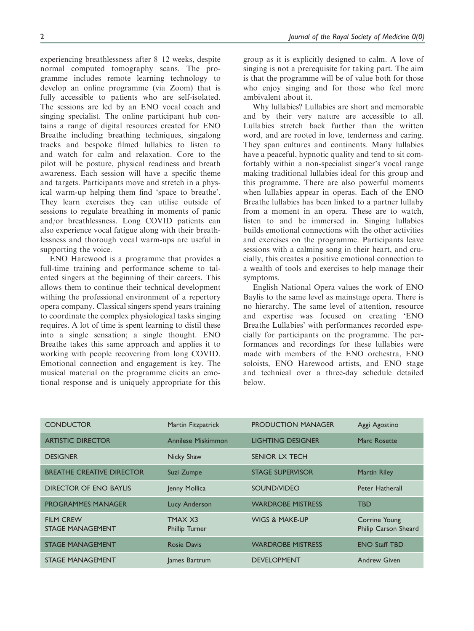experiencing breathlessness after 8–12 weeks, despite normal computed tomography scans. The programme includes remote learning technology to develop an online programme (via Zoom) that is fully accessible to patients who are self-isolated. The sessions are led by an ENO vocal coach and singing specialist. The online participant hub contains a range of digital resources created for ENO Breathe including breathing techniques, singalong tracks and bespoke filmed lullabies to listen to and watch for calm and relaxation. Core to the pilot will be posture, physical readiness and breath awareness. Each session will have a specific theme and targets. Participants move and stretch in a physical warm-up helping them find 'space to breathe'. They learn exercises they can utilise outside of sessions to regulate breathing in moments of panic and/or breathlessness. Long COVID patients can also experience vocal fatigue along with their breathlessness and thorough vocal warm-ups are useful in supporting the voice.

ENO Harewood is a programme that provides a full-time training and performance scheme to talented singers at the beginning of their careers. This allows them to continue their technical development withing the professional environment of a repertory opera company. Classical singers spend years training to coordinate the complex physiological tasks singing requires. A lot of time is spent learning to distil these into a single sensation; a single thought. ENO Breathe takes this same approach and applies it to working with people recovering from long COVID. Emotional connection and engagement is key. The musical material on the programme elicits an emotional response and is uniquely appropriate for this group as it is explicitly designed to calm. A love of singing is not a prerequisite for taking part. The aim is that the programme will be of value both for those who enjoy singing and for those who feel more ambivalent about it.

Why lullabies? Lullabies are short and memorable and by their very nature are accessible to all. Lullabies stretch back further than the written word, and are rooted in love, tenderness and caring. They span cultures and continents. Many lullabies have a peaceful, hypnotic quality and tend to sit comfortably within a non-specialist singer's vocal range making traditional lullabies ideal for this group and this programme. There are also powerful moments when lullabies appear in operas. Each of the ENO Breathe lullabies has been linked to a partner lullaby from a moment in an opera. These are to watch, listen to and be immersed in. Singing lullabies builds emotional connections with the other activities and exercises on the programme. Participants leave sessions with a calming song in their heart, and crucially, this creates a positive emotional connection to a wealth of tools and exercises to help manage their symptoms.

English National Opera values the work of ENO Baylis to the same level as mainstage opera. There is no hierarchy. The same level of attention, resource and expertise was focused on creating 'ENO Breathe Lullabies' with performances recorded especially for participants on the programme. The performances and recordings for these lullabies were made with members of the ENO orchestra, ENO soloists, ENO Harewood artists, and ENO stage and technical over a three-day schedule detailed below.

| <b>CONDUCTOR</b>                            | Martin Fitzpatrick        | <b>PRODUCTION MANAGER</b> | Aggi Agostino                         |
|---------------------------------------------|---------------------------|---------------------------|---------------------------------------|
| <b>ARTISTIC DIRECTOR</b>                    | Annilese Miskimmon        | <b>LIGHTING DESIGNER</b>  | Marc Rosette                          |
| <b>DESIGNER</b>                             | Nicky Shaw                | <b>SENIOR LX TECH</b>     |                                       |
| <b>BREATHE CREATIVE DIRECTOR</b>            | Suzi Zumpe                | <b>STAGE SUPERVISOR</b>   | <b>Martin Riley</b>                   |
| <b>DIRECTOR OF ENO BAYLIS</b>               | Jenny Mollica             | SOUND/VIDEO               | <b>Peter Hatherall</b>                |
| <b>PROGRAMMES MANAGER</b>                   | Lucy Anderson             | <b>WARDROBE MISTRESS</b>  | <b>TBD</b>                            |
| <b>FILM CREW</b><br><b>STAGE MANAGEMENT</b> | TMAX X3<br>Phillip Turner | <b>WIGS &amp; MAKE-UP</b> | Corrine Young<br>Philip Carson Sheard |
| <b>STAGE MANAGEMENT</b>                     | <b>Rosie Davis</b>        | <b>WARDROBE MISTRESS</b>  | <b>ENO Staff TBD</b>                  |
| <b>STAGE MANAGEMENT</b>                     | lames Bartrum             | <b>DEVELOPMENT</b>        | <b>Andrew Given</b>                   |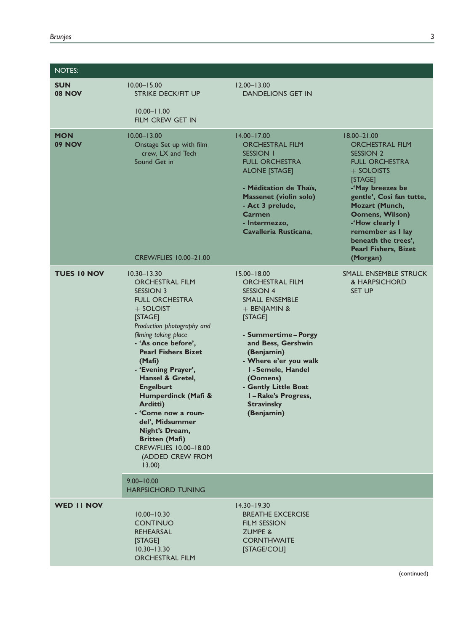| <b>NOTES:</b>               |                                                                                                                                                                                                                                                                                                                                                                                                                                                                               |                                                                                                                                                                                                                                                                                                                    |                                                                                                                                                                                                                                                                                                                         |
|-----------------------------|-------------------------------------------------------------------------------------------------------------------------------------------------------------------------------------------------------------------------------------------------------------------------------------------------------------------------------------------------------------------------------------------------------------------------------------------------------------------------------|--------------------------------------------------------------------------------------------------------------------------------------------------------------------------------------------------------------------------------------------------------------------------------------------------------------------|-------------------------------------------------------------------------------------------------------------------------------------------------------------------------------------------------------------------------------------------------------------------------------------------------------------------------|
| <b>SUN</b><br><b>08 NOV</b> | $10.00 - 15.00$<br><b>STRIKE DECK/FIT UP</b><br>$10.00 - 11.00$                                                                                                                                                                                                                                                                                                                                                                                                               | $12.00 - 13.00$<br><b>DANDELIONS GET IN</b>                                                                                                                                                                                                                                                                        |                                                                                                                                                                                                                                                                                                                         |
|                             | <b>FILM CREW GET IN</b>                                                                                                                                                                                                                                                                                                                                                                                                                                                       |                                                                                                                                                                                                                                                                                                                    |                                                                                                                                                                                                                                                                                                                         |
| <b>MON</b><br><b>09 NOV</b> | $10.00 - 13.00$<br>Onstage Set up with film<br>crew, LX and Tech<br>Sound Get in<br>CREW/FLIES 10.00-21.00                                                                                                                                                                                                                                                                                                                                                                    | $14.00 - 17.00$<br><b>ORCHESTRAL FILM</b><br><b>SESSION 1</b><br><b>FULL ORCHESTRA</b><br><b>ALONE [STAGE]</b><br>- Méditation de Thaïs,<br><b>Massenet (violin solo)</b><br>- Act 3 prelude,<br>Carmen<br>- Intermezzo,<br>Cavalleria Rusticana.                                                                  | $18.00 - 21.00$<br><b>ORCHESTRAL FILM</b><br><b>SESSION 2</b><br><b>FULL ORCHESTRA</b><br>$+$ SOLOISTS<br>[STAGE]<br>-'May breezes be<br>gentle', Cosi fan tutte,<br>Mozart (Munch,<br><b>Oomens, Wilson)</b><br>-'How clearly I<br>remember as I lay<br>beneath the trees',<br><b>Pearl Fishers, Bizet</b><br>(Morgan) |
| <b>TUES 10 NOV</b>          | $10.30 - 13.30$<br><b>ORCHESTRAL FILM</b><br>SESSION 3<br><b>FULL ORCHESTRA</b><br>$+$ SOLOIST<br>[STAGE]<br>Production photography and<br>filming taking place<br>- 'As once before'.<br><b>Pearl Fishers Bizet</b><br>(Mafi)<br>- 'Evening Prayer',<br>Hansel & Gretel,<br><b>Engelburt</b><br>Humperdinck (Mafi &<br>Arditti)<br>- 'Come now a roun-<br>del', Midsummer<br>Night's Dream,<br><b>Britten (Mafi)</b><br>CREW/FLIES 10.00-18.00<br>(ADDED CREW FROM<br>13.00) | $15.00 - 18.00$<br><b>ORCHESTRAL FILM</b><br><b>SESSION 4</b><br>SMALL ENSEMBLE<br>+ BENJAMIN &<br>[STAGE]<br>- Summertime - Porgy<br>and Bess, Gershwin<br>(Benjamin)<br>- Where e'er you walk<br>I - Semele, Handel<br>(Oomens)<br>- Gently Little Boat<br>I-Rake's Progress,<br><b>Stravinsky</b><br>(Benjamin) | SMALL ENSEMBLE STRUCK<br>& HARPSICHORD<br><b>SET UP</b>                                                                                                                                                                                                                                                                 |
|                             | $9.00 - 10.00$<br><b>HARPSICHORD TUNING</b>                                                                                                                                                                                                                                                                                                                                                                                                                                   |                                                                                                                                                                                                                                                                                                                    |                                                                                                                                                                                                                                                                                                                         |
| <b>WED II NOV</b>           | $10.00 - 10.30$<br><b>CONTINUO</b><br><b>REHEARSAL</b><br>[STAGE]<br>$10.30 - 13.30$<br><b>ORCHESTRAL FILM</b>                                                                                                                                                                                                                                                                                                                                                                | $14.30 - 19.30$<br><b>BREATHE EXCERCISE</b><br><b>FILM SESSION</b><br><b>ZUMPE &amp;</b><br><b>CORNTHWAITE</b><br>[STAGE/COLI]                                                                                                                                                                                     |                                                                                                                                                                                                                                                                                                                         |

(continued)